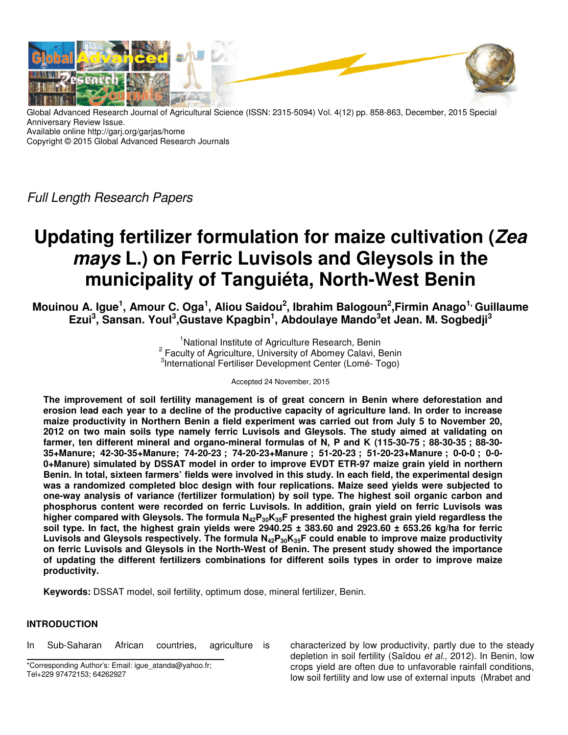

Global Advanced Research Journal of Agricultural Science (ISSN: 2315-5094) Vol. 4(12) pp. 858-863, December, 2015 Special Anniversary Review Issue. Available online http://garj.org/garjas/home Copyright © 2015 Global Advanced Research Journals

Full Length Research Papers

# **Updating fertilizer formulation for maize cultivation (Zea mays L.) on Ferric Luvisols and Gleysols in the municipality of Tanguiéta, North-West Benin**

**Mouinou A. Igue<sup>1</sup> , Amour C. Oga<sup>1</sup> , Aliou Saidou<sup>2</sup> , Ibrahim Balogoun<sup>2</sup> ,Firmin Anago1, Guillaume Ezui<sup>3</sup> , Sansan. Youl<sup>3</sup> ,Gustave Kpagbin<sup>1</sup> , Abdoulaye Mando<sup>3</sup> et Jean. M. Sogbedji<sup>3</sup>**

> <sup>1</sup>National Institute of Agriculture Research, Benin <sup>2</sup> Faculty of Agriculture, University of Abomey Calavi, Benin 3 International Fertiliser Development Center (Lomé- Togo)

### Accepted 24 November, 2015

**The improvement of soil fertility management is of great concern in Benin where deforestation and erosion lead each year to a decline of the productive capacity of agriculture land. In order to increase maize productivity in Northern Benin a field experiment was carried out from July 5 to November 20, 2012 on two main soils type namely ferric Luvisols and Gleysols. The study aimed at validating on farmer, ten different mineral and organo-mineral formulas of N, P and K (115-30-75 ; 88-30-35 ; 88-30- 35+Manure; 42-30-35+Manure; 74-20-23 ; 74-20-23+Manure ; 51-20-23 ; 51-20-23+Manure ; 0-0-0 ; 0-0- 0+Manure) simulated by DSSAT model in order to improve EVDT ETR-97 maize grain yield in northern Benin. In total, sixteen farmers' fields were involved in this study. In each field, the experimental design was a randomized completed bloc design with four replications. Maize seed yields were subjected to one-way analysis of variance (fertilizer formulation) by soil type. The highest soil organic carbon and phosphorus content were recorded on ferric Luvisols. In addition, grain yield on ferric Luvisols was higher compared with Gleysols. The formula N42P30K35F presented the highest grain yield regardless the soil type. In fact, the highest grain yields were 2940.25 ± 383.60 and 2923.60 ± 653.26 kg/ha for ferric Luvisols and Gleysols respectively. The formula N42P30K35F could enable to improve maize productivity on ferric Luvisols and Gleysols in the North-West of Benin. The present study showed the importance of updating the different fertilizers combinations for different soils types in order to improve maize productivity.** 

**Keywords:** DSSAT model, soil fertility, optimum dose, mineral fertilizer, Benin.

## **INTRODUCTION**

In Sub-Saharan African countries, agriculture is

\*Corresponding Author's: Email: igue\_atanda@yahoo.fr; Tel+229 97472153; 64262927

characterized by low productivity, partly due to the steady depletion in soil fertility (Saïdou et al., 2012). In Benin, low crops yield are often due to unfavorable rainfall conditions, low soil fertility and low use of external inputs (Mrabet and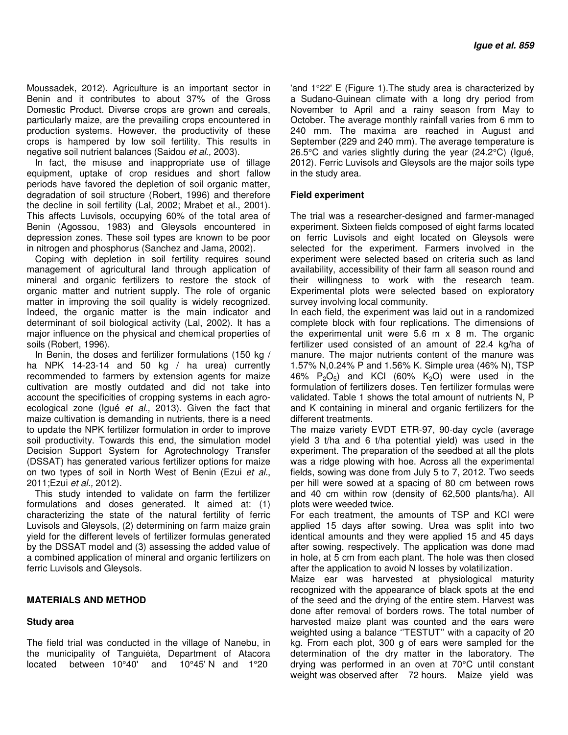Moussadek, 2012). Agriculture is an important sector in Benin and it contributes to about 37% of the Gross Domestic Product. Diverse crops are grown and cereals, particularly maize, are the prevailing crops encountered in production systems. However, the productivity of these crops is hampered by low soil fertility. This results in negative soil nutrient balances (Saidou et al., 2003).

In fact, the misuse and inappropriate use of tillage equipment, uptake of crop residues and short fallow periods have favored the depletion of soil organic matter, degradation of soil structure (Robert, 1996) and therefore the decline in soil fertility (Lal, 2002; Mrabet et al., 2001). This affects Luvisols, occupying 60% of the total area of Benin (Agossou, 1983) and Gleysols encountered in depression zones. These soil types are known to be poor in nitrogen and phosphorus (Sanchez and Jama, 2002).

Coping with depletion in soil fertility requires sound management of agricultural land through application of mineral and organic fertilizers to restore the stock of organic matter and nutrient supply. The role of organic matter in improving the soil quality is widely recognized. Indeed, the organic matter is the main indicator and determinant of soil biological activity (Lal, 2002). It has a major influence on the physical and chemical properties of soils (Robert, 1996).

In Benin, the doses and fertilizer formulations (150 kg / ha NPK 14-23-14 and 50 kg / ha urea) currently recommended to farmers by extension agents for maize cultivation are mostly outdated and did not take into account the specificities of cropping systems in each agroecological zone (Igué et al., 2013). Given the fact that maize cultivation is demanding in nutrients, there is a need to update the NPK fertilizer formulation in order to improve soil productivity. Towards this end, the simulation model Decision Support System for Agrotechnology Transfer (DSSAT) has generated various fertilizer options for maize on two types of soil in North West of Benin (Ezui et al., 2011;Ezui et al., 2012).

This study intended to validate on farm the fertilizer formulations and doses generated. It aimed at: (1) characterizing the state of the natural fertility of ferric Luvisols and Gleysols, (2) determining on farm maize grain yield for the different levels of fertilizer formulas generated by the DSSAT model and (3) assessing the added value of a combined application of mineral and organic fertilizers on ferric Luvisols and Gleysols.

### **MATERIALS AND METHOD**

### **Study area**

The field trial was conducted in the village of Nanebu, in the municipality of Tanguiéta, Department of Atacora located between 10°40' and 10°45' N and 1°20

'and 1°22' E (Figure 1).The study area is characterized by a Sudano-Guinean climate with a long dry period from November to April and a rainy season from May to October. The average monthly rainfall varies from 6 mm to 240 mm. The maxima are reached in August and September (229 and 240 mm). The average temperature is 26.5°C and varies slightly during the year (24.2°C) (Igué, 2012). Ferric Luvisols and Gleysols are the major soils type in the study area.

### **Field experiment**

The trial was a researcher-designed and farmer-managed experiment. Sixteen fields composed of eight farms located on ferric Luvisols and eight located on Gleysols were selected for the experiment. Farmers involved in the experiment were selected based on criteria such as land availability, accessibility of their farm all season round and their willingness to work with the research team. Experimental plots were selected based on exploratory survey involving local community.

In each field, the experiment was laid out in a randomized complete block with four replications. The dimensions of the experimental unit were 5.6 m x 8 m. The organic fertilizer used consisted of an amount of 22.4 kg/ha of manure. The major nutrients content of the manure was 1.57% N,0.24% P and 1.56% K. Simple urea (46% N), TSP 46%  $P_2O_5$ ) and KCl (60% K<sub>2</sub>O) were used in the formulation of fertilizers doses. Ten fertilizer formulas were validated. Table 1 shows the total amount of nutrients N, P and K containing in mineral and organic fertilizers for the different treatments.

The maize variety EVDT ETR-97, 90-day cycle (average yield 3 t/ha and 6 t/ha potential yield) was used in the experiment. The preparation of the seedbed at all the plots was a ridge plowing with hoe. Across all the experimental fields, sowing was done from July 5 to 7, 2012. Two seeds per hill were sowed at a spacing of 80 cm between rows and 40 cm within row (density of 62,500 plants/ha). All plots were weeded twice.

For each treatment, the amounts of TSP and KCl were applied 15 days after sowing. Urea was split into two identical amounts and they were applied 15 and 45 days after sowing, respectively. The application was done mad in hole, at 5 cm from each plant. The hole was then closed after the application to avoid N losses by volatilization.

Maize ear was harvested at physiological maturity recognized with the appearance of black spots at the end of the seed and the drying of the entire stem. Harvest was done after removal of borders rows. The total number of harvested maize plant was counted and the ears were weighted using a balance ''TESTUT'' with a capacity of 20 kg. From each plot, 300 g of ears were sampled for the determination of the dry matter in the laboratory. The drying was performed in an oven at 70°C until constant weight was observed after 72 hours. Maize yield was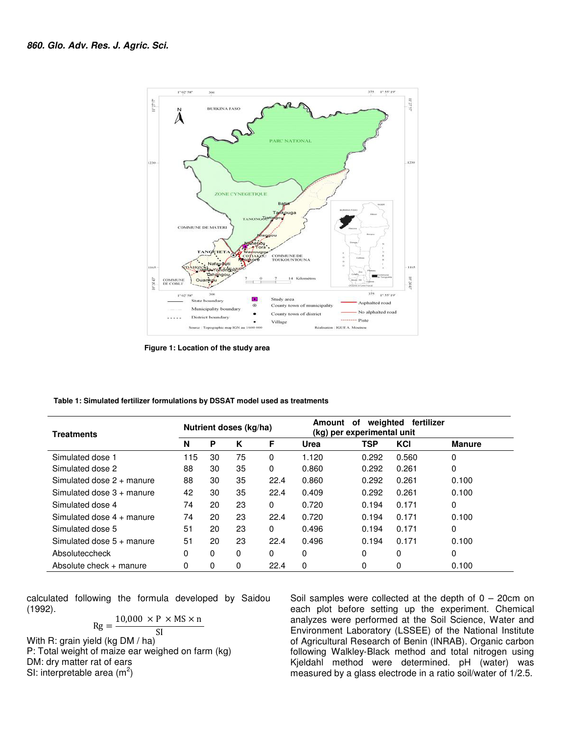

 **Figure 1: Location of the study area** 

| Table 1: Simulated fertilizer formulations by DSSAT model used as treatments |  |
|------------------------------------------------------------------------------|--|
|------------------------------------------------------------------------------|--|

| <b>Treatments</b>           | Nutrient doses (kg/ha) |    |    |          | weighted<br>fertilizer<br>Amount<br>οf<br>(kg) per experimental unit |       |       |               |
|-----------------------------|------------------------|----|----|----------|----------------------------------------------------------------------|-------|-------|---------------|
|                             | N                      | P  | K  | F        | Urea                                                                 | TSP   | KCI   | <b>Manure</b> |
| Simulated dose 1            | 115                    | 30 | 75 | 0        | 1.120                                                                | 0.292 | 0.560 | 0             |
| Simulated dose 2            | 88                     | 30 | 35 | $\Omega$ | 0.860                                                                | 0.292 | 0.261 | 0             |
| Simulated dose $2 +$ manure | 88                     | 30 | 35 | 22.4     | 0.860                                                                | 0.292 | 0.261 | 0.100         |
| Simulated dose $3 +$ manure | 42                     | 30 | 35 | 22.4     | 0.409                                                                | 0.292 | 0.261 | 0.100         |
| Simulated dose 4            | 74                     | 20 | 23 | $\Omega$ | 0.720                                                                | 0.194 | 0.171 | 0             |
| Simulated dose $4 +$ manure | 74                     | 20 | 23 | 22.4     | 0.720                                                                | 0.194 | 0.171 | 0.100         |
| Simulated dose 5            | 51                     | 20 | 23 | $\Omega$ | 0.496                                                                | 0.194 | 0.171 | 0             |
| Simulated dose $5 +$ manure | 51                     | 20 | 23 | 22.4     | 0.496                                                                | 0.194 | 0.171 | 0.100         |
| Absoluteccheck              | 0                      | 0  | 0  | $\Omega$ | 0                                                                    | 0     | 0     | 0             |
| Absolute check + manure     | 0                      | 0  | 0  | 22.4     | 0                                                                    | 0     | 0     | 0.100         |

calculated following the formula developed by Saidou (1992).

 $Rg = 10,000 \times P \times MS \times n$ 

SI With R: grain yield (kg DM / ha) P: Total weight of maize ear weighed on farm (kg) DM: dry matter rat of ears SI: interpretable area  $(m^2)$ 

Soil samples were collected at the depth of  $0 - 20$ cm on each plot before setting up the experiment. Chemical analyzes were performed at the Soil Science, Water and Environment Laboratory (LSSEE) of the National Institute of Agricultural Research of Benin (INRAB). Organic carbon following Walkley-Black method and total nitrogen using Kjeldahl method were determined. pH (water) was measured by a glass electrode in a ratio soil/water of 1/2.5.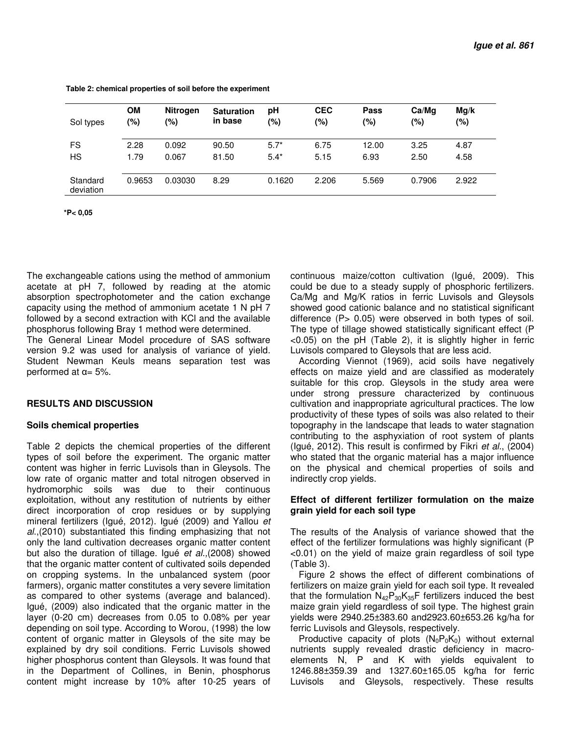| Sol types             | <b>OM</b> | <b>Nitrogen</b> | <b>Saturation</b> | рH     | <b>CEC</b> | Pass    | Ca/Mq  | Mg/k  |
|-----------------------|-----------|-----------------|-------------------|--------|------------|---------|--------|-------|
|                       | (%)       | (%)             | in base           | (%)    | (%)        | $(\% )$ | (%)    | (%)   |
| <b>FS</b>             | 2.28      | 0.092           | 90.50             | $5.7*$ | 6.75       | 12.00   | 3.25   | 4.87  |
| <b>HS</b>             | 1.79      | 0.067           | 81.50             | $5.4*$ | 5.15       | 6.93    | 2.50   | 4.58  |
| Standard<br>deviation | 0.9653    | 0.03030         | 8.29              | 0.1620 | 2.206      | 5.569   | 0.7906 | 2.922 |

 **Table 2: chemical properties of soil before the experiment** 

 **\*P< 0,05**

The exchangeable cations using the method of ammonium acetate at pH 7, followed by reading at the atomic absorption spectrophotometer and the cation exchange capacity using the method of ammonium acetate 1 N pH 7 followed by a second extraction with KCl and the available phosphorus following Bray 1 method were determined.

The General Linear Model procedure of SAS software version 9.2 was used for analysis of variance of yield. Student Newman Keuls means separation test was performed at  $α = 5%$ .

### **RESULTS AND DISCUSSION**

### **Soils chemical properties**

Table 2 depicts the chemical properties of the different types of soil before the experiment. The organic matter content was higher in ferric Luvisols than in Gleysols. The low rate of organic matter and total nitrogen observed in hydromorphic soils was due to their continuous exploitation, without any restitution of nutrients by either direct incorporation of crop residues or by supplying mineral fertilizers (Igué, 2012). Igué (2009) and Yallou et al.,(2010) substantiated this finding emphasizing that not only the land cultivation decreases organic matter content but also the duration of tillage. Igué et al.,(2008) showed that the organic matter content of cultivated soils depended on cropping systems. In the unbalanced system (poor farmers), organic matter constitutes a very severe limitation as compared to other systems (average and balanced). Igué, (2009) also indicated that the organic matter in the layer (0-20 cm) decreases from 0.05 to 0.08% per year depending on soil type. According to Worou, (1998) the low content of organic matter in Gleysols of the site may be explained by dry soil conditions. Ferric Luvisols showed higher phosphorus content than Gleysols. It was found that in the Department of Collines, in Benin, phosphorus content might increase by 10% after 10-25 years of

continuous maize/cotton cultivation (Igué, 2009). This could be due to a steady supply of phosphoric fertilizers. Ca/Mg and Mg/K ratios in ferric Luvisols and Gleysols showed good cationic balance and no statistical significant difference (P > 0.05) were observed in both types of soil. The type of tillage showed statistically significant effect (P <0.05) on the pH (Table 2), it is slightly higher in ferric Luvisols compared to Gleysols that are less acid.

According Viennot (1969), acid soils have negatively effects on maize yield and are classified as moderately suitable for this crop. Gleysols in the study area were under strong pressure characterized by continuous cultivation and inappropriate agricultural practices. The low productivity of these types of soils was also related to their topography in the landscape that leads to water stagnation contributing to the asphyxiation of root system of plants (Igué, 2012). This result is confirmed by Fikri et al., (2004) who stated that the organic material has a major influence on the physical and chemical properties of soils and indirectly crop yields.

### **Effect of different fertilizer formulation on the maize grain yield for each soil type**

The results of the Analysis of variance showed that the effect of the fertilizer formulations was highly significant (P <0.01) on the yield of maize grain regardless of soil type (Table 3).

Figure 2 shows the effect of different combinations of fertilizers on maize grain yield for each soil type. It revealed that the formulation  $N_{42}P_{30}K_{35}F$  fertilizers induced the best maize grain yield regardless of soil type. The highest grain yields were 2940.25±383.60 and2923.60±653.26 kg/ha for ferric Luvisols and Gleysols, respectively.

Productive capacity of plots  $(N_0P_0K_0)$  without external nutrients supply revealed drastic deficiency in macroelements N, P and K with yields equivalent to 1246.88±359.39 and 1327.60±165.05 kg/ha for ferric Luvisols and Gleysols, respectively. These results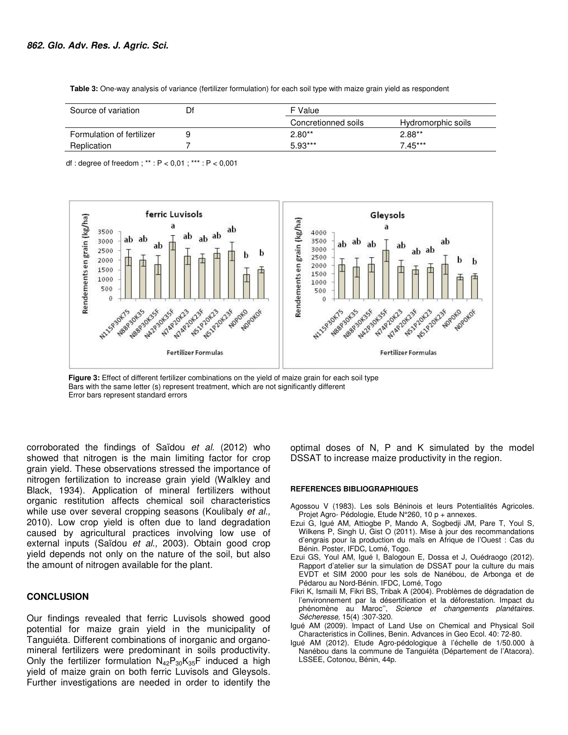| Source of variation       | Df | F Value             |                    |  |
|---------------------------|----|---------------------|--------------------|--|
|                           |    | Concretionned soils | Hydromorphic soils |  |
| Formulation of fertilizer |    | $2.80**$            | $2.88**$           |  |
| Replication               |    | $5.93***$           | $7.45***$          |  |

 **Table 3:** One-way analysis of variance (fertilizer formulation) for each soil type with maize grain yield as respondent

df : degree of freedom ; \*\* : P < 0,01 ; \*\*\* : P < 0,001



**Figure 3:** Effect of different fertilizer combinations on the yield of maize grain for each soil type Bars with the same letter (s) represent treatment, which are not significantly different Error bars represent standard errors

corroborated the findings of Saïdou et al. (2012) who showed that nitrogen is the main limiting factor for crop grain yield. These observations stressed the importance of nitrogen fertilization to increase grain yield (Walkley and Black, 1934). Application of mineral fertilizers without organic restitution affects chemical soil characteristics while use over several cropping seasons (Koulibaly et al., 2010). Low crop yield is often due to land degradation caused by agricultural practices involving low use of external inputs (Saïdou et al., 2003). Obtain good crop yield depends not only on the nature of the soil, but also the amount of nitrogen available for the plant.

#### **CONCLUSION**

Our findings revealed that ferric Luvisols showed good potential for maize grain yield in the municipality of Tanguiéta. Different combinations of inorganic and organomineral fertilizers were predominant in soils productivity. Only the fertilizer formulation  $N_{42}P_{30}K_{35}F$  induced a high yield of maize grain on both ferric Luvisols and Gleysols. Further investigations are needed in order to identify the

optimal doses of N, P and K simulated by the model DSSAT to increase maize productivity in the region.

#### **REFERENCES BIBLIOGRAPHIQUES**

- Agossou V (1983). Les sols Béninois et leurs Potentialités Agricoles. Projet Agro- Pédologie, Etude N°260, 10 p + annexes.
- Ezui G, Igué AM, Attiogbe P, Mando A, Sogbedji JM, Pare T, Youl S, Wilkens P, Singh U, Gist O (2011). Mise à jour des recommandations d'engrais pour la production du maïs en Afrique de l'Ouest : Cas du Bénin. Poster, IFDC, Lomé, Togo.
- Ezui GS, Youl AM, Igué I, Balogoun E, Dossa et J, Ouédraogo (2012). Rapport d'atelier sur la simulation de DSSAT pour la culture du mais EVDT et SIM 2000 pour les sols de Nanébou, de Arbonga et de Pédarou au Nord-Bénin. IFDC, Lomé, Togo
- Fikri K, Ismaili M, Fikri BS, Tribak A (2004). Problèmes de dégradation de l'environnement par la désertification et la déforestation. Impact du phénomène au Maroc", Science et changements planétaires. Sécheresse, 15(4) :307-320.
- Igué AM (2009). Impact of Land Use on Chemical and Physical Soil Characteristics in Collines, Benin. Advances in Geo Ecol. 40: 72-80.
- Igué AM (2012). Etude Agro-pédologique à l'échelle de 1/50.000 à Nanébou dans la commune de Tanguiéta (Département de l'Atacora). LSSEE, Cotonou, Bénin, 44p.